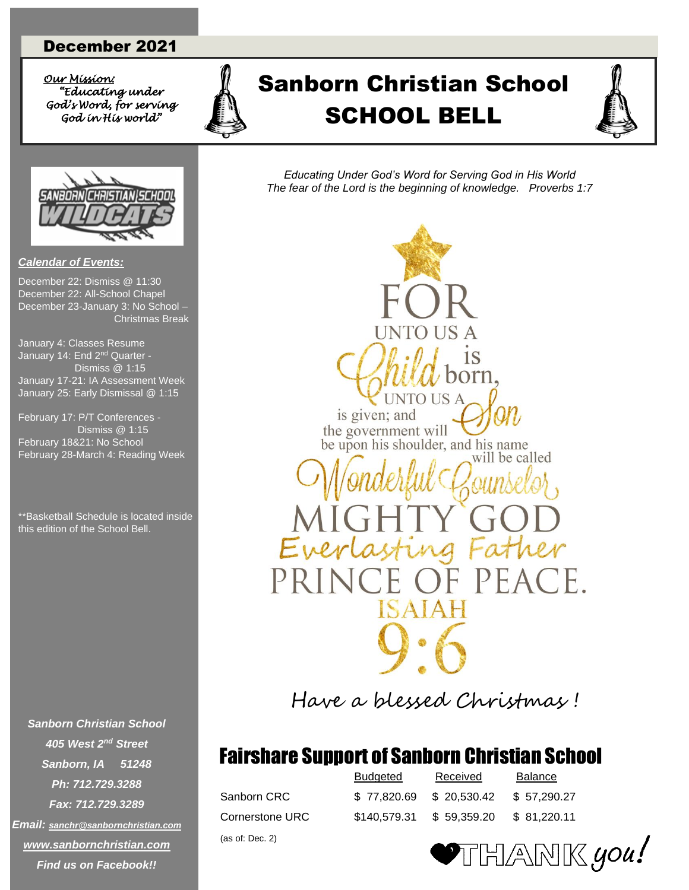### December 2021

*Our Mission: Our Mission: "Educating under God's Word, for serving God in His world"* 



# *<u>"King under</u>* A Sanborn Christian School SCHOOL BELL SCHOOL BELL

*Educating Under God's Word for Serving God in His World The fear of the Lord is the beginning of knowledge. Proverbs 1:7*



December 22: Dismiss @ 11:30 December 22: All-School Chapel December 23-January 3: No School – Christmas Break

*Calendar of Events:*

January 4: Classes Resume January 14: End 2<sup>nd</sup> Quarter - Dismiss @ 1:15 January 17-21: IA Assessment Week January 25: Early Dismissal @ 1:15

February 17: P/T Conferences - Dismiss @ 1:15 February 18&21: No School February 28-March 4: Reading Week

\*\*Basketball Schedule is located inside this edition of the School Bell.

*Sanborn Christian School 405 West 2nd Street Sanborn, IA 51248 Ph: 712.729.3288 Fax: 712.729.3289 Email: [sanchr@sanbornchristian.com](mailto:sanchr@sanbornchristian.com) [www.sanbornchristian.com](http://www.sanbornchristian.com/) Find us on Facebook!!*

VTO US **INTO US A** is given; and the government will be upon his shoulder, and his name will be called Ever  $A1$ 

Have a blessed Christmas !

### Fairshare Support of Sanborn Christian School

(as of: Dec. 2)

|                 | <b>Budgeted</b> | Received                | <b>Balance</b> |
|-----------------|-----------------|-------------------------|----------------|
| Sanborn CRC     |                 | \$77.820.69 \$20.530.42 | \$57.290.27    |
| Cornerstone URC | \$140.579.31    | \$59.359.20             | \$ 81.220.11   |

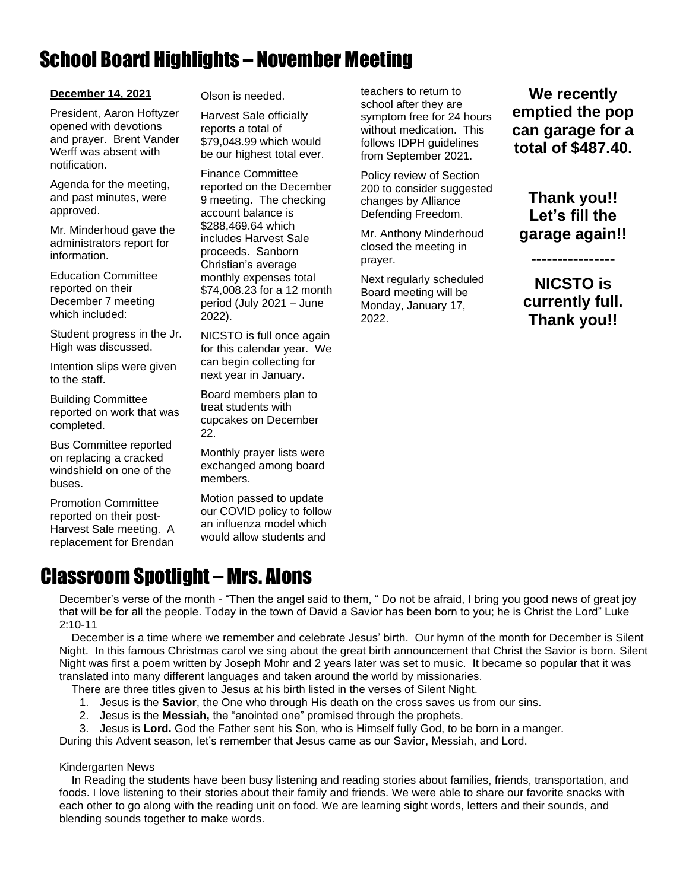# School Board Highlights – November Meeting

### **December 14, 2021**

President, Aaron Hoftyzer opened with devotions and prayer. Brent Vander Werff was absent with notification.

Agenda for the meeting, and past minutes, were approved.

Mr. Minderhoud gave the administrators report for information.

Education Committee reported on their December 7 meeting which included:

Student progress in the Jr. High was discussed.

Intention slips were given to the staff.

Building Committee reported on work that was completed.

Bus Committee reported on replacing a cracked windshield on one of the buses.

Promotion Committee reported on their post-Harvest Sale meeting. A replacement for Brendan Olson is needed.

Harvest Sale officially reports a total of \$79,048.99 which would be our highest total ever.

Finance Committee reported on the December 9 meeting. The checking account balance is \$288,469.64 which includes Harvest Sale proceeds. Sanborn Christian's average monthly expenses total \$74,008.23 for a 12 month period (July 2021 – June 2022).

NICSTO is full once again for this calendar year. We can begin collecting for next year in January.

Board members plan to treat students with cupcakes on December 22.

Monthly prayer lists were exchanged among board members.

Motion passed to update our COVID policy to follow an influenza model which would allow students and

teachers to return to school after they are symptom free for 24 hours without medication. This follows IDPH guidelines from September 2021.

Policy review of Section 200 to consider suggested changes by Alliance Defending Freedom.

Mr. Anthony Minderhoud closed the meeting in prayer.

Next regularly scheduled Board meeting will be Monday, January 17, 2022.

**We recently emptied the pop can garage for a total of \$487.40.**

**Thank you!! Let's fill the garage again!!**

**NICSTO is currently full. Thank you!!** 

**----------------**

### Classroom Spotlight – Mrs. Alons

December's verse of the month - "Then the angel said to them, " Do not be afraid, I bring you good news of great joy that will be for all the people. Today in the town of David a Savior has been born to you; he is Christ the Lord" Luke 2:10-11

 December is a time where we remember and celebrate Jesus' birth. Our hymn of the month for December is Silent Night. In this famous Christmas carol we sing about the great birth announcement that Christ the Savior is born. Silent Night was first a poem written by Joseph Mohr and 2 years later was set to music. It became so popular that it was translated into many different languages and taken around the world by missionaries.

There are three titles given to Jesus at his birth listed in the verses of Silent Night.

- 1. Jesus is the **Savior**, the One who through His death on the cross saves us from our sins.
- 2. Jesus is the **Messiah,** the "anointed one" promised through the prophets.

3. Jesus is **Lord.** God the Father sent his Son, who is Himself fully God, to be born in a manger.

During this Advent season, let's remember that Jesus came as our Savior, Messiah, and Lord.

### Kindergarten News

 In Reading the students have been busy listening and reading stories about families, friends, transportation, and foods. I love listening to their stories about their family and friends. We were able to share our favorite snacks with each other to go along with the reading unit on food. We are learning sight words, letters and their sounds, and blending sounds together to make words.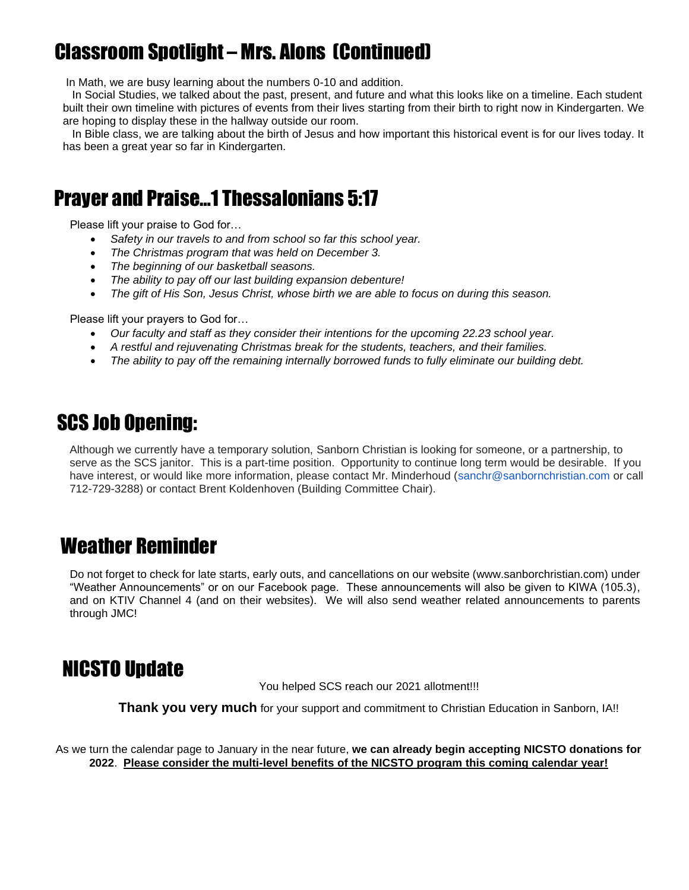# Classroom Spotlight – Mrs. Alons (Continued)

In Math, we are busy learning about the numbers 0-10 and addition.

 In Social Studies, we talked about the past, present, and future and what this looks like on a timeline. Each student built their own timeline with pictures of events from their lives starting from their birth to right now in Kindergarten. We are hoping to display these in the hallway outside our room.

 In Bible class, we are talking about the birth of Jesus and how important this historical event is for our lives today. It has been a great year so far in Kindergarten.

### Prayer and Praise…1 Thessalonians 5:17

Please lift your praise to God for…

- *Safety in our travels to and from school so far this school year.*
- *The Christmas program that was held on December 3.*
- *The beginning of our basketball seasons.*
- *The ability to pay off our last building expansion debenture!*
- *The gift of His Son, Jesus Christ, whose birth we are able to focus on during this season.*

Please lift your prayers to God for…

- *Our faculty and staff as they consider their intentions for the upcoming 22.23 school year.*
- *A restful and rejuvenating Christmas break for the students, teachers, and their families.*
- *The ability to pay off the remaining internally borrowed funds to fully eliminate our building debt.*

### SCS Job Opening:

Although we currently have a temporary solution, Sanborn Christian is looking for someone, or a partnership, to serve as the SCS janitor. This is a part-time position. Opportunity to continue long term would be desirable. If you have interest, or would like more information, please contact Mr. Minderhoud (sanchr@sanbornchristian.com or call 712-729-3288) or contact Brent Koldenhoven (Building Committee Chair).

### Weather Reminder

Do not forget to check for late starts, early outs, and cancellations on our website (www.sanborchristian.com) under "Weather Announcements" or on our Facebook page. These announcements will also be given to KIWA (105.3), and on KTIV Channel 4 (and on their websites). We will also send weather related announcements to parents through JMC!

### NICSTO Update

You helped SCS reach our 2021 allotment!!!

**Thank you very much** for your support and commitment to Christian Education in Sanborn, IA!!

As we turn the calendar page to January in the near future, **we can already begin accepting NICSTO donations for 2022**. **Please consider the multi-level benefits of the NICSTO program this coming calendar year!**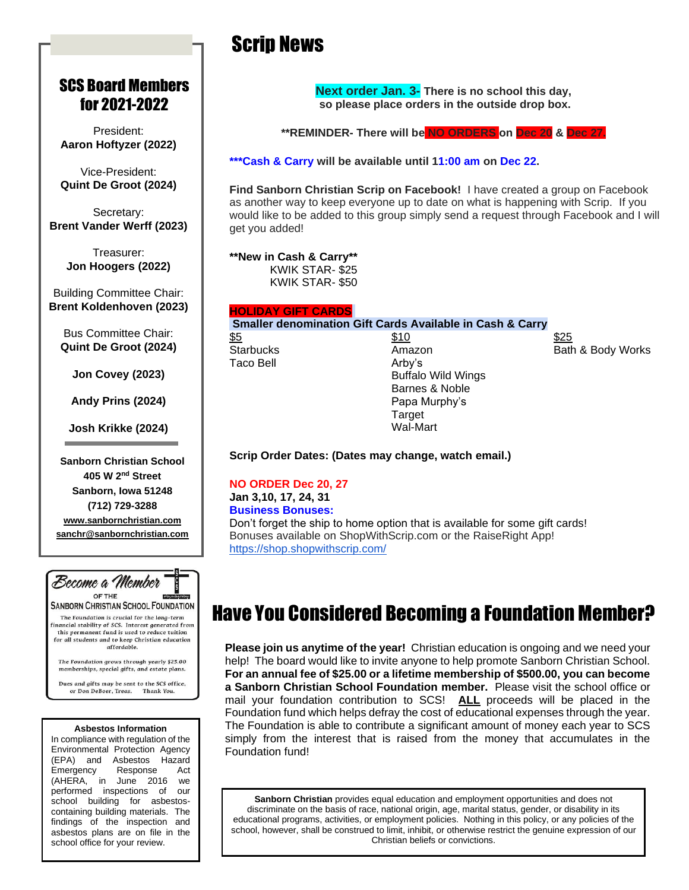### SCS Board Members for 2021-2022

President: **Aaron Hoftyzer (2022)**

Vice-President: **Quint De Groot (2024)**

Secretary: **Brent Vander Werff (2023)**

> Treasurer: **Jon Hoogers (2022)**

Building Committee Chair: **Brent Koldenhoven (2023)**

Bus Committee Chair: **Quint De Groot (2024)**

**Jon Covey (2023)**

**Andy Prins (2024)**

**Josh Krikke (2024)**

**Sanborn Christian School 405 W 2nd Street Sanborn, Iowa 51248 (712) 729-3288 [www.sanbornchristian.com](http://www.sanbornchristian.com/) [sanchr@sanbornchristian.com](mailto:sanchr@sanbornchristian.com)**



Dues and gifts may be sent to the SCS office, or Don DeBoer, Treas. Thank You.

#### **Asbestos Information**

In compliance with regulation of the Environmental Protection Agency (EPA) and Asbestos Hazard Emergency Response Act (AHERA, in June 2016 we performed inspections of our school building for asbestoscontaining building materials. The findings of the inspection and asbestos plans are on file in the school office for your review.

## Scrip News

**Next order Jan. 3- There is no school this day, so please place orders in the outside drop box.**

**\*\*REMINDER- There will be NO ORDERS on Dec 20 & Dec 27.**

**\*\*\*Cash & Carry will be available until 11:00 am on Dec 22.**

**Find Sanborn Christian Scrip on Facebook!** I have created a group on Facebook as another way to keep everyone up to date on what is happening with Scrip. If you would like to be added to this group simply send a request through Facebook and I will get you added!

**\*\*New in Cash & Carry\*\*** 

KWIK STAR- \$25 KWIK STAR- \$50

### **HOLIDAY GIFT CARDS**

**Smaller denomination Gift Cards Available in Cash & Carry**

Taco Bell **Arby's** 

 $\frac{$5}{25}$ Buffalo Wild Wings Barnes & Noble Papa Murphy's **Target** Wal-Mart

Starbucks **Amazon** Amazon Bath & Body Works

**Scrip Order Dates: (Dates may change, watch email.)**

**NO ORDER Dec 20, 27 Jan 3,10, 17, 24, 31 Business Bonuses:** Don't forget the ship to home option that is available for some gift cards! Bonuses available on ShopWithScrip.com or the RaiseRight App! <https://shop.shopwithscrip.com/>

### Have You Considered Becoming a Foundation Member?

**Please join us anytime of the year!** Christian education is ongoing and we need your help! The board would like to invite anyone to help promote Sanborn Christian School. **For an annual fee of \$25.00 or a lifetime membership of \$500.00, you can become a Sanborn Christian School Foundation member.** Please visit the school office or mail your foundation contribution to SCS! **ALL** proceeds will be placed in the Foundation fund which helps defray the cost of educational expenses through the year. The Foundation is able to contribute a significant amount of money each year to SCS simply from the interest that is raised from the money that accumulates in the Foundation fund!

**Sanborn Christian** provides equal education and employment opportunities and does not discriminate on the basis of race, national origin, age, marital status, gender, or disability in its educational programs, activities, or employment policies. Nothing in this policy, or any policies of the school, however, shall be construed to limit, inhibit, or otherwise restrict the genuine expression of our Christian beliefs or convictions.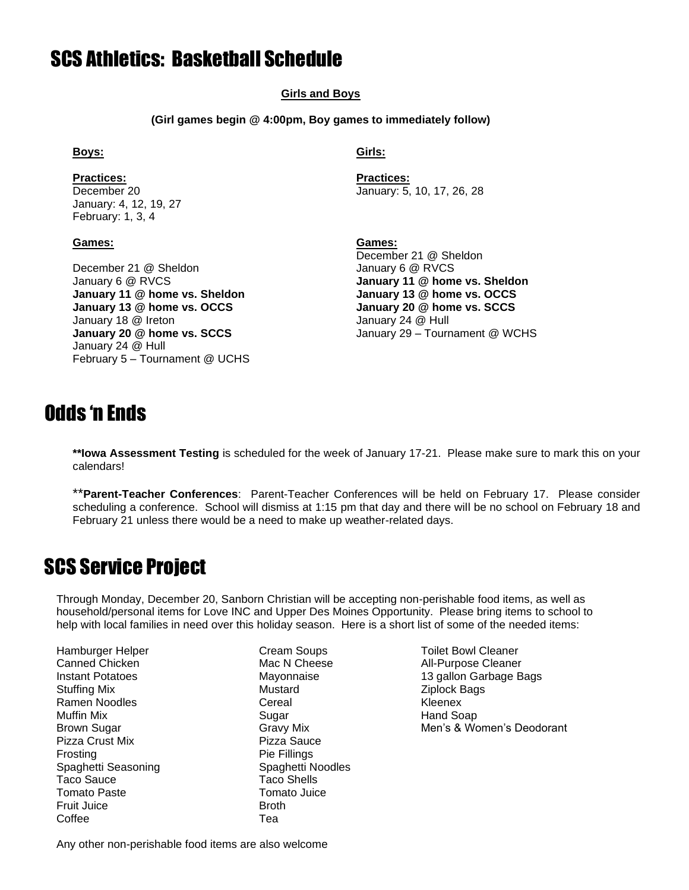### SCS Athletics: Basketball Schedule

#### **Girls and Boys**

**(Girl games begin @ 4:00pm, Boy games to immediately follow)**

**Practices: Practices:** January: 4, 12, 19, 27 February: 1, 3, 4

#### **Games: Games:**

December 21 @ Sheldon January 6 @ RVCS January 6 @ RVCS **January 11 @ home vs. Sheldon January 11 @ home vs. Sheldon January 13 @ home vs. OCCS January 13 @ home vs. OCCS January 20 @ home vs. SCCS** January 18 @ Ireton **January 24 @ Hull** January 24 @ Hull February 5 – Tournament @ UCHS

### **Boys: Girls:**

December 20 January: 5, 10, 17, 26, 28

December 21 @ Sheldon **January 20 @ home vs. SCCS** January 29 – Tournament @ WCHS

### Odds 'n Ends

**\*\*Iowa Assessment Testing** is scheduled for the week of January 17-21. Please make sure to mark this on your calendars!

\*\***Parent-Teacher Conferences**: Parent-Teacher Conferences will be held on February 17. Please consider scheduling a conference. School will dismiss at 1:15 pm that day and there will be no school on February 18 and February 21 unless there would be a need to make up weather-related days.

### SCS Service Project

Through Monday, December 20, Sanborn Christian will be accepting non-perishable food items, as well as household/personal items for Love INC and Upper Des Moines Opportunity. Please bring items to school to help with local families in need over this holiday season. Here is a short list of some of the needed items:

Hamburger Helper Cream Soups Toilet Bowl Cleaner Stuffing Mix **Mustard** Mustard **Ziplock Bags** Ramen Noodles **Cereal** Cereal Cereal Kleenex Muffin Mix **Example 2018** Sugar **Hand Soap** Hand Soap Pizza Crust Mix Pizza Sauce Frosting **Pie Fillings** Spaghetti Seasoning Spaghetti Noodles Taco Sauce **Taco** Shells Tomato Paste Tomato Juice Fruit Juice Broth Coffee **Tea** 

Canned Chicken **Mac N** Cheese **Mac N** Cheese **All-Purpose Cleaner** Instant Potatoes The State of Mayonnaise The Mayonnaise 13 gallon Garbage Bags Brown Sugar Gravy Mix Gravy Mix Men's & Women's Deodorant

Any other non-perishable food items are also welcome